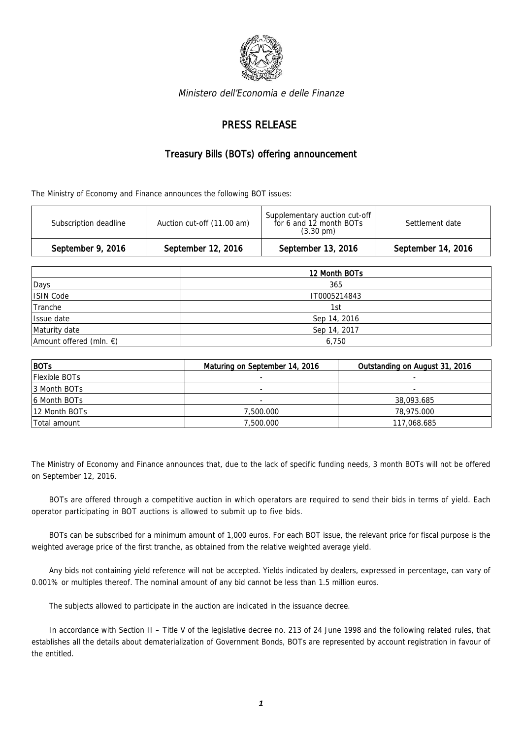

Ministero dell'Economia e delle Finanze

## PRESS RELEASE

## Treasury Bills (BOTs) offering announcement

The Ministry of Economy and Finance announces the following BOT issues:

| Subscription deadline | Auction cut-off (11.00 am) | Supplementary auction cut-off<br>for 6 and 12 month BOTs<br>$(3.30 \text{ pm})$ | Settlement date    |
|-----------------------|----------------------------|---------------------------------------------------------------------------------|--------------------|
| September 9, 2016     | September 12, 2016         | September 13, 2016                                                              | September 14, 2016 |

|                                   | 12 Month BOTs |  |
|-----------------------------------|---------------|--|
| Days                              | 365           |  |
| ISIN Code                         | IT0005214843  |  |
| Tranche                           | 1st           |  |
| Issue date                        | Sep 14, 2016  |  |
| Maturity date                     | Sep 14, 2017  |  |
| Amount offered (mln. $\epsilon$ ) | 6,750         |  |

| $ $ BOTs             | Maturing on September 14, 2016 | Outstanding on August 31, 2016 |
|----------------------|--------------------------------|--------------------------------|
| <b>Flexible BOTs</b> |                                |                                |
| 13 Month BOTs        | -                              | $\overline{a}$                 |
| 6 Month BOTs         | -                              | 38,093.685                     |
| 12 Month BOTs        | 7,500.000                      | 78,975.000                     |
| Total amount         | 7,500.000                      | 117,068.685                    |

The Ministry of Economy and Finance announces that, due to the lack of specific funding needs, 3 month BOTs will not be offered on September 12, 2016.

BOTs are offered through a competitive auction in which operators are required to send their bids in terms of yield. Each operator participating in BOT auctions is allowed to submit up to five bids.

BOTs can be subscribed for a minimum amount of 1,000 euros. For each BOT issue, the relevant price for fiscal purpose is the weighted average price of the first tranche, as obtained from the relative weighted average yield.

Any bids not containing yield reference will not be accepted. Yields indicated by dealers, expressed in percentage, can vary of 0.001% or multiples thereof. The nominal amount of any bid cannot be less than 1.5 million euros.

The subjects allowed to participate in the auction are indicated in the issuance decree.

In accordance with Section II – Title V of the legislative decree no. 213 of 24 June 1998 and the following related rules, that establishes all the details about dematerialization of Government Bonds, BOTs are represented by account registration in favour of the entitled.